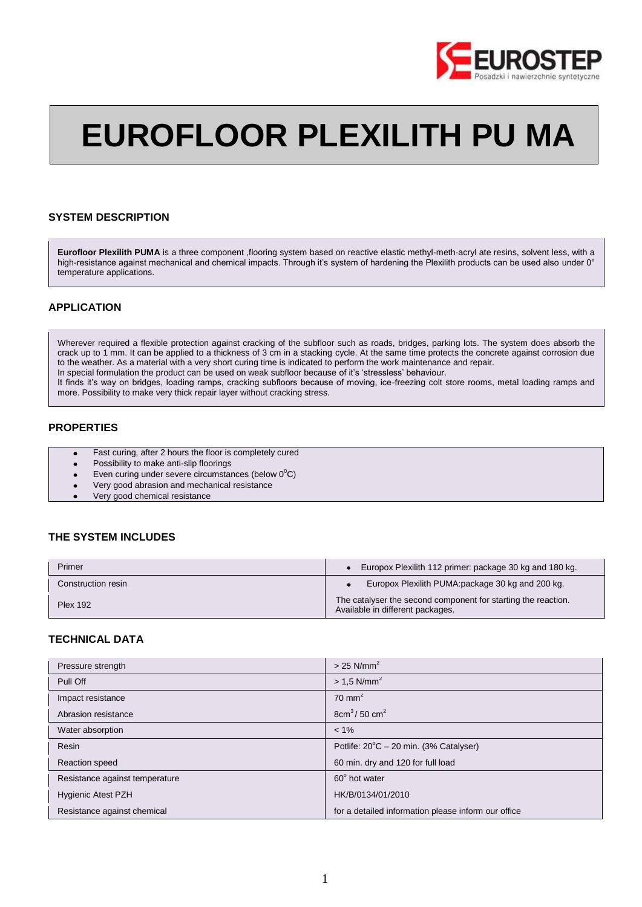

# **EUROFLOOR PLEXILITH PU MA**

## **SYSTEM DESCRIPTION**

**Eurofloor Plexilith PUMA** is a three component ,flooring system based on reactive elastic methyl-meth-acryl ate resins, solvent less, with a high-resistance against mechanical and chemical impacts. Through it's system of hardening the Plexilith products can be used also under 0° temperature applications.

## **APPLICATION**

Wherever required a flexible protection against cracking of the subfloor such as roads, bridges, parking lots. The system does absorb the crack up to 1 mm. It can be applied to a thickness of 3 cm in a stacking cycle. At the same time protects the concrete against corrosion due to the weather. As a material with a very short curing time is indicated to perform the work maintenance and repair. In special formulation the product can be used on weak subfloor because of it's 'stressless' behaviour.

It finds it's way on bridges, loading ramps, cracking subfloors because of moving, ice-freezing colt store rooms, metal loading ramps and more. Possibility to make very thick repair layer without cracking stress.

## **PROPERTIES**

- Fast curing, after 2 hours the floor is completely cured
- Possibility to make anti-slip floorings  $\bullet$
- Even curing under severe circumstances (below  $0^0C$ )
- Very good abrasion and mechanical resistance
- Very good chemical resistance

# **THE SYSTEM INCLUDES**

| Primer             | Europox Plexilith 112 primer: package 30 kg and 180 kg.                                           |
|--------------------|---------------------------------------------------------------------------------------------------|
| Construction resin | Europox Plexilith PUMA: package 30 kg and 200 kg.                                                 |
| <b>Plex 192</b>    | The catalyser the second component for starting the reaction.<br>Available in different packages. |

## **TECHNICAL DATA**

| Pressure strength              | $>$ 25 N/mm <sup>2</sup>                            |
|--------------------------------|-----------------------------------------------------|
| Pull Off                       | $> 1.5$ N/mm <sup>2</sup>                           |
| Impact resistance              | $70 \text{ mm}^2$                                   |
| Abrasion resistance            | $8cm3$ / 50 cm <sup>2</sup>                         |
| Water absorption               | $< 1\%$                                             |
| Resin                          | Potlife: $20^{\circ}$ C – 20 min. (3% Catalyser)    |
| <b>Reaction speed</b>          | 60 min. dry and 120 for full load                   |
| Resistance against temperature | 60° hot water                                       |
| <b>Hygienic Atest PZH</b>      | HK/B/0134/01/2010                                   |
| Resistance against chemical    | for a detailed information please inform our office |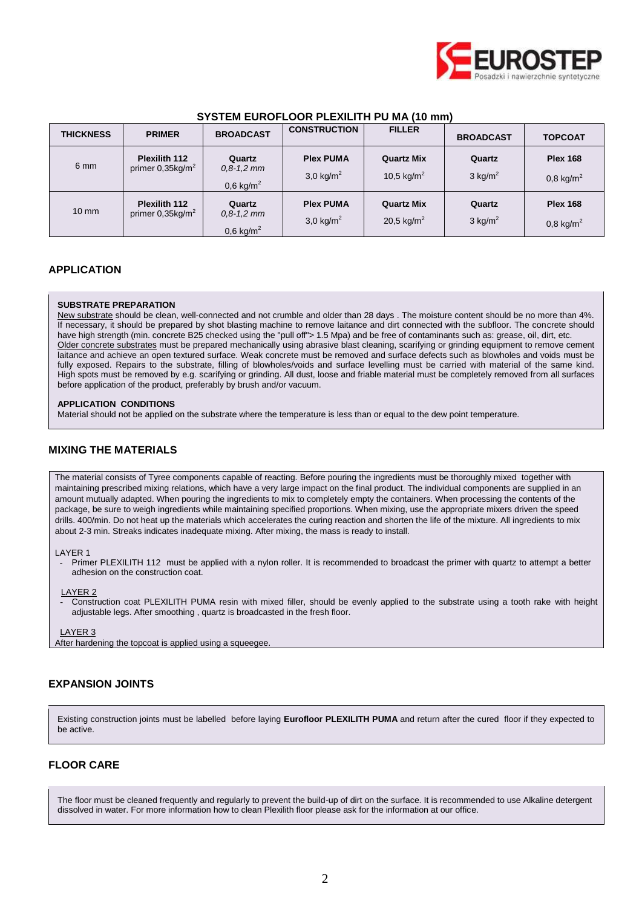

| <b>THICKNESS</b> | <b>PRIMER</b>                              | <b>BROADCAST</b>                                  | <b>CONSTRUCTION</b>               | <b>FILLER</b>                               | <b>BROADCAST</b>                | <b>TOPCOAT</b>                          |
|------------------|--------------------------------------------|---------------------------------------------------|-----------------------------------|---------------------------------------------|---------------------------------|-----------------------------------------|
| 6 mm             | <b>Plexilith 112</b><br>primer $0,35kg/m2$ | Quartz<br>$0,8-1,2$ mm<br>$0,6$ kg/m <sup>2</sup> | <b>Plex PUMA</b><br>3,0 kg/ $m^2$ | <b>Quartz Mix</b><br>10,5 kg/m <sup>2</sup> | Quartz<br>$3$ kg/m <sup>2</sup> | <b>Plex 168</b><br>$0,8 \text{ kg/m}^2$ |
| $10 \text{ mm}$  | <b>Plexilith 112</b><br>primer $0,35kg/m2$ | Quartz<br>$0,8-1,2$ mm<br>$0,6$ kg/m <sup>2</sup> | <b>Plex PUMA</b><br>3,0 kg/ $m^2$ | <b>Quartz Mix</b><br>20,5 kg/m <sup>2</sup> | Quartz<br>$3$ kg/m <sup>2</sup> | <b>Plex 168</b><br>$0,8 \text{ kg/m}^2$ |

# **SYSTEM EUROFLOOR PLEXILITH PU MA (10 mm)**

# **APPLICATION**

## **SUBSTRATE PREPARATION**

New substrate should be clean, well-connected and not crumble and older than 28 days . The moisture content should be no more than 4%. If necessary, it should be prepared by shot blasting machine to remove laitance and dirt connected with the subfloor. The concrete should have high strength (min. concrete B25 checked using the "pull off"> 1.5 Mpa) and be free of contaminants such as: grease, oil, dirt, etc. Older concrete substrates must be prepared mechanically using abrasive blast cleaning, scarifying or grinding equipment to remove cement laitance and achieve an open textured surface. Weak concrete must be removed and surface defects such as blowholes and voids must be fully exposed. Repairs to the substrate, filling of blowholes/voids and surface levelling must be carried with material of the same kind. High spots must be removed by e.g. scarifying or grinding. All dust, loose and friable material must be completely removed from all surfaces before application of the product, preferably by brush and/or vacuum.

## **APPLICATION CONDITIONS**

Material should not be applied on the substrate where the temperature is less than or equal to the dew point temperature.

# **MIXING THE MATERIALS**

The material consists of Tyree components capable of reacting. Before pouring the ingredients must be thoroughly mixed together with maintaining prescribed mixing relations, which have a very large impact on the final product. The individual components are supplied in an amount mutually adapted. When pouring the ingredients to mix to completely empty the containers. When processing the contents of the package, be sure to weigh ingredients while maintaining specified proportions. When mixing, use the appropriate mixers driven the speed drills. 400/min. Do not heat up the materials which accelerates the curing reaction and shorten the life of the mixture. All ingredients to mix about 2-3 min. Streaks indicates inadequate mixing. After mixing, the mass is ready to install.

#### LAYER 1

Primer PLEXILITH 112 must be applied with a nylon roller. It is recommended to broadcast the primer with quartz to attempt a better adhesion on the construction coat.

LAYER 2

- Construction coat PLEXILITH PUMA resin with mixed filler, should be evenly applied to the substrate using a tooth rake with height adjustable legs. After smoothing , quartz is broadcasted in the fresh floor.

### LAYER 3

After hardening the topcoat is applied using a squeegee.

## **EXPANSION JOINTS**

Existing construction joints must be labelled before laying **Eurofloor PLEXILITH PUMA** and return after the cured floor if they expected to be active.

## **FLOOR CARE**

The floor must be cleaned frequently and regularly to prevent the build-up of dirt on the surface. It is recommended to use Alkaline detergent dissolved in water. For more information how to clean Plexilith floor please ask for the information at our office.